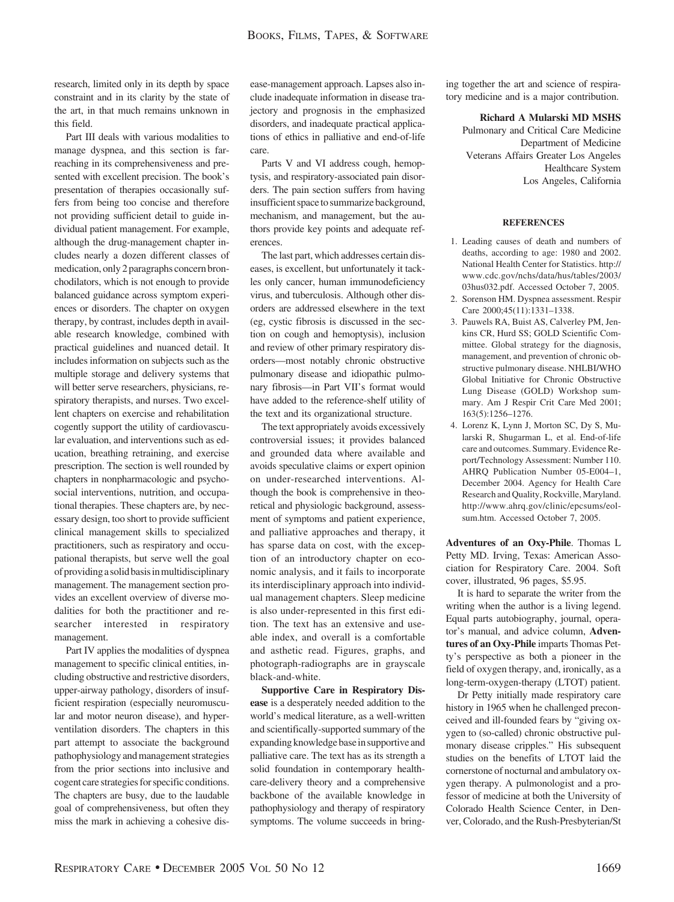research, limited only in its depth by space constraint and in its clarity by the state of the art, in that much remains unknown in this field.

Part III deals with various modalities to manage dyspnea, and this section is farreaching in its comprehensiveness and presented with excellent precision. The book's presentation of therapies occasionally suffers from being too concise and therefore not providing sufficient detail to guide individual patient management. For example, although the drug-management chapter includes nearly a dozen different classes of medication, only 2 paragraphs concern bronchodilators, which is not enough to provide balanced guidance across symptom experiences or disorders. The chapter on oxygen therapy, by contrast, includes depth in available research knowledge, combined with practical guidelines and nuanced detail. It includes information on subjects such as the multiple storage and delivery systems that will better serve researchers, physicians, respiratory therapists, and nurses. Two excellent chapters on exercise and rehabilitation cogently support the utility of cardiovascular evaluation, and interventions such as education, breathing retraining, and exercise prescription. The section is well rounded by chapters in nonpharmacologic and psychosocial interventions, nutrition, and occupational therapies. These chapters are, by necessary design, too short to provide sufficient clinical management skills to specialized practitioners, such as respiratory and occupational therapists, but serve well the goal of providing a solid basisinmultidisciplinary management. The management section provides an excellent overview of diverse modalities for both the practitioner and researcher interested in respiratory management.

Part IV applies the modalities of dyspnea management to specific clinical entities, including obstructive and restrictive disorders, upper-airway pathology, disorders of insufficient respiration (especially neuromuscular and motor neuron disease), and hyperventilation disorders. The chapters in this part attempt to associate the background pathophysiology and management strategies from the prior sections into inclusive and cogent care strategies for specific conditions. The chapters are busy, due to the laudable goal of comprehensiveness, but often they miss the mark in achieving a cohesive disease-management approach. Lapses also include inadequate information in disease trajectory and prognosis in the emphasized disorders, and inadequate practical applications of ethics in palliative and end-of-life care.

Parts V and VI address cough, hemoptysis, and respiratory-associated pain disorders. The pain section suffers from having insufficient space to summarize background, mechanism, and management, but the authors provide key points and adequate references.

The last part, which addresses certain diseases, is excellent, but unfortunately it tackles only cancer, human immunodeficiency virus, and tuberculosis. Although other disorders are addressed elsewhere in the text (eg, cystic fibrosis is discussed in the section on cough and hemoptysis), inclusion and review of other primary respiratory disorders—most notably chronic obstructive pulmonary disease and idiopathic pulmonary fibrosis—in Part VII's format would have added to the reference-shelf utility of the text and its organizational structure.

The text appropriately avoids excessively controversial issues; it provides balanced and grounded data where available and avoids speculative claims or expert opinion on under-researched interventions. Although the book is comprehensive in theoretical and physiologic background, assessment of symptoms and patient experience, and palliative approaches and therapy, it has sparse data on cost, with the exception of an introductory chapter on economic analysis, and it fails to incorporate its interdisciplinary approach into individual management chapters. Sleep medicine is also under-represented in this first edition. The text has an extensive and useable index, and overall is a comfortable and asthetic read. Figures, graphs, and photograph-radiographs are in grayscale black-and-white.

**Supportive Care in Respiratory Disease** is a desperately needed addition to the world's medical literature, as a well-written and scientifically-supported summary of the expanding knowledge basein supportive and palliative care. The text has as its strength a solid foundation in contemporary healthcare-delivery theory and a comprehensive backbone of the available knowledge in pathophysiology and therapy of respiratory symptoms. The volume succeeds in bringing together the art and science of respiratory medicine and is a major contribution.

**Richard A Mularski MD MSHS**

Pulmonary and Critical Care Medicine Department of Medicine Veterans Affairs Greater Los Angeles Healthcare System Los Angeles, California

## **REFERENCES**

- 1. Leading causes of death and numbers of deaths, according to age: 1980 and 2002. National Health Center for Statistics. http:// www.cdc.gov/nchs/data/hus/tables/2003/ 03hus032.pdf. Accessed October 7, 2005.
- 2. Sorenson HM. Dyspnea assessment. Respir Care 2000;45(11):1331–1338.
- 3. Pauwels RA, Buist AS, Calverley PM, Jenkins CR, Hurd SS; GOLD Scientific Committee. Global strategy for the diagnosis, management, and prevention of chronic obstructive pulmonary disease. NHLBI/WHO Global Initiative for Chronic Obstructive Lung Disease (GOLD) Workshop summary. Am J Respir Crit Care Med 2001; 163(5):1256–1276.
- 4. Lorenz K, Lynn J, Morton SC, Dy S, Mularski R, Shugarman L, et al. End-of-life care and outcomes. Summary. Evidence Report/Technology Assessment: Number 110. AHRQ Publication Number 05-E004–1, December 2004. Agency for Health Care Research and Quality, Rockville, Maryland. http://www.ahrq.gov/clinic/epcsums/eolsum.htm. Accessed October 7, 2005.

**Adventures of an Oxy-Phile**. Thomas L Petty MD. Irving, Texas: American Association for Respiratory Care. 2004. Soft cover, illustrated, 96 pages, \$5.95.

It is hard to separate the writer from the writing when the author is a living legend. Equal parts autobiography, journal, operator's manual, and advice column, **Adventures of an Oxy-Phile** imparts Thomas Petty's perspective as both a pioneer in the field of oxygen therapy, and, ironically, as a long-term-oxygen-therapy (LTOT) patient.

Dr Petty initially made respiratory care history in 1965 when he challenged preconceived and ill-founded fears by "giving oxygen to (so-called) chronic obstructive pulmonary disease cripples." His subsequent studies on the benefits of LTOT laid the cornerstone of nocturnal and ambulatory oxygen therapy. A pulmonologist and a professor of medicine at both the University of Colorado Health Science Center, in Denver, Colorado, and the Rush-Presbyterian/St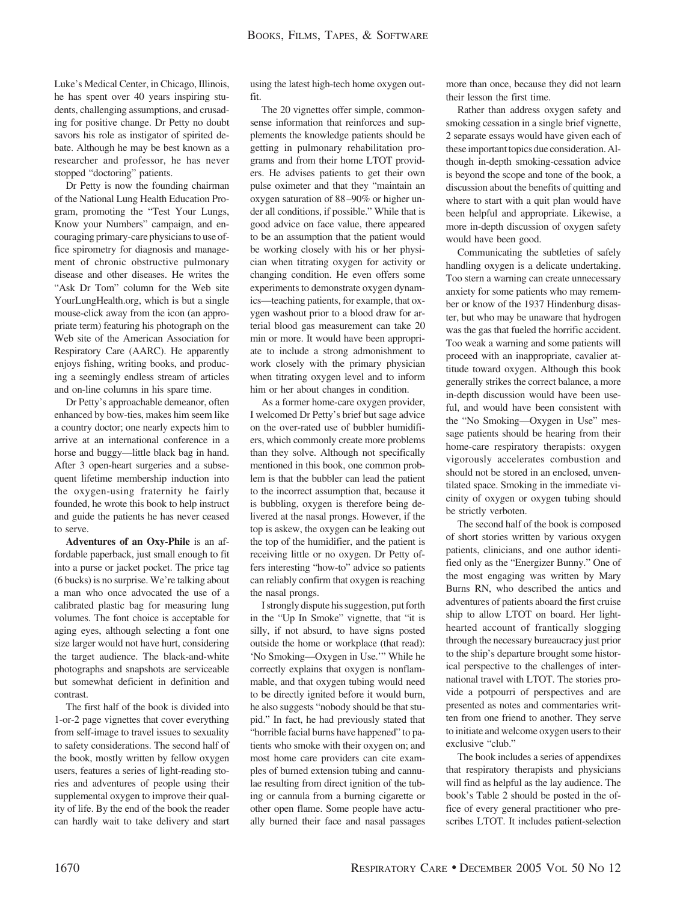Luke's Medical Center, in Chicago, Illinois, he has spent over 40 years inspiring students, challenging assumptions, and crusading for positive change. Dr Petty no doubt savors his role as instigator of spirited debate. Although he may be best known as a researcher and professor, he has never stopped "doctoring" patients.

Dr Petty is now the founding chairman of the National Lung Health Education Program, promoting the "Test Your Lungs, Know your Numbers" campaign, and encouraging primary-care physicians to use office spirometry for diagnosis and management of chronic obstructive pulmonary disease and other diseases. He writes the "Ask Dr Tom" column for the Web site YourLungHealth.org, which is but a single mouse-click away from the icon (an appropriate term) featuring his photograph on the Web site of the American Association for Respiratory Care (AARC). He apparently enjoys fishing, writing books, and producing a seemingly endless stream of articles and on-line columns in his spare time.

Dr Petty's approachable demeanor, often enhanced by bow-ties, makes him seem like a country doctor; one nearly expects him to arrive at an international conference in a horse and buggy—little black bag in hand. After 3 open-heart surgeries and a subsequent lifetime membership induction into the oxygen-using fraternity he fairly founded, he wrote this book to help instruct and guide the patients he has never ceased to serve.

**Adventures of an Oxy-Phile** is an affordable paperback, just small enough to fit into a purse or jacket pocket. The price tag (6 bucks) is no surprise. We're talking about a man who once advocated the use of a calibrated plastic bag for measuring lung volumes. The font choice is acceptable for aging eyes, although selecting a font one size larger would not have hurt, considering the target audience. The black-and-white photographs and snapshots are serviceable but somewhat deficient in definition and contrast.

The first half of the book is divided into 1-or-2 page vignettes that cover everything from self-image to travel issues to sexuality to safety considerations. The second half of the book, mostly written by fellow oxygen users, features a series of light-reading stories and adventures of people using their supplemental oxygen to improve their quality of life. By the end of the book the reader can hardly wait to take delivery and start

using the latest high-tech home oxygen outfit.

The 20 vignettes offer simple, commonsense information that reinforces and supplements the knowledge patients should be getting in pulmonary rehabilitation programs and from their home LTOT providers. He advises patients to get their own pulse oximeter and that they "maintain an oxygen saturation of 88 –90% or higher under all conditions, if possible." While that is good advice on face value, there appeared to be an assumption that the patient would be working closely with his or her physician when titrating oxygen for activity or changing condition. He even offers some experiments to demonstrate oxygen dynamics—teaching patients, for example, that oxygen washout prior to a blood draw for arterial blood gas measurement can take 20 min or more. It would have been appropriate to include a strong admonishment to work closely with the primary physician when titrating oxygen level and to inform him or her about changes in condition.

As a former home-care oxygen provider, I welcomed Dr Petty's brief but sage advice on the over-rated use of bubbler humidifiers, which commonly create more problems than they solve. Although not specifically mentioned in this book, one common problem is that the bubbler can lead the patient to the incorrect assumption that, because it is bubbling, oxygen is therefore being delivered at the nasal prongs. However, if the top is askew, the oxygen can be leaking out the top of the humidifier, and the patient is receiving little or no oxygen. Dr Petty offers interesting "how-to" advice so patients can reliably confirm that oxygen is reaching the nasal prongs.

I strongly dispute his suggestion, put forth in the "Up In Smoke" vignette, that "it is silly, if not absurd, to have signs posted outside the home or workplace (that read): 'No Smoking—Oxygen in Use.'" While he correctly explains that oxygen is nonflammable, and that oxygen tubing would need to be directly ignited before it would burn, he also suggests "nobody should be that stupid." In fact, he had previously stated that "horrible facial burns have happened" to patients who smoke with their oxygen on; and most home care providers can cite examples of burned extension tubing and cannulae resulting from direct ignition of the tubing or cannula from a burning cigarette or other open flame. Some people have actually burned their face and nasal passages more than once, because they did not learn their lesson the first time.

Rather than address oxygen safety and smoking cessation in a single brief vignette, 2 separate essays would have given each of these important topics due consideration. Although in-depth smoking-cessation advice is beyond the scope and tone of the book, a discussion about the benefits of quitting and where to start with a quit plan would have been helpful and appropriate. Likewise, a more in-depth discussion of oxygen safety would have been good.

Communicating the subtleties of safely handling oxygen is a delicate undertaking. Too stern a warning can create unnecessary anxiety for some patients who may remember or know of the 1937 Hindenburg disaster, but who may be unaware that hydrogen was the gas that fueled the horrific accident. Too weak a warning and some patients will proceed with an inappropriate, cavalier attitude toward oxygen. Although this book generally strikes the correct balance, a more in-depth discussion would have been useful, and would have been consistent with the "No Smoking—Oxygen in Use" message patients should be hearing from their home-care respiratory therapists: oxygen vigorously accelerates combustion and should not be stored in an enclosed, unventilated space. Smoking in the immediate vicinity of oxygen or oxygen tubing should be strictly verboten.

The second half of the book is composed of short stories written by various oxygen patients, clinicians, and one author identified only as the "Energizer Bunny." One of the most engaging was written by Mary Burns RN, who described the antics and adventures of patients aboard the first cruise ship to allow LTOT on board. Her lighthearted account of frantically slogging through the necessary bureaucracy just prior to the ship's departure brought some historical perspective to the challenges of international travel with LTOT. The stories provide a potpourri of perspectives and are presented as notes and commentaries written from one friend to another. They serve to initiate and welcome oxygen users to their exclusive "club."

The book includes a series of appendixes that respiratory therapists and physicians will find as helpful as the lay audience. The book's Table 2 should be posted in the office of every general practitioner who prescribes LTOT. It includes patient-selection